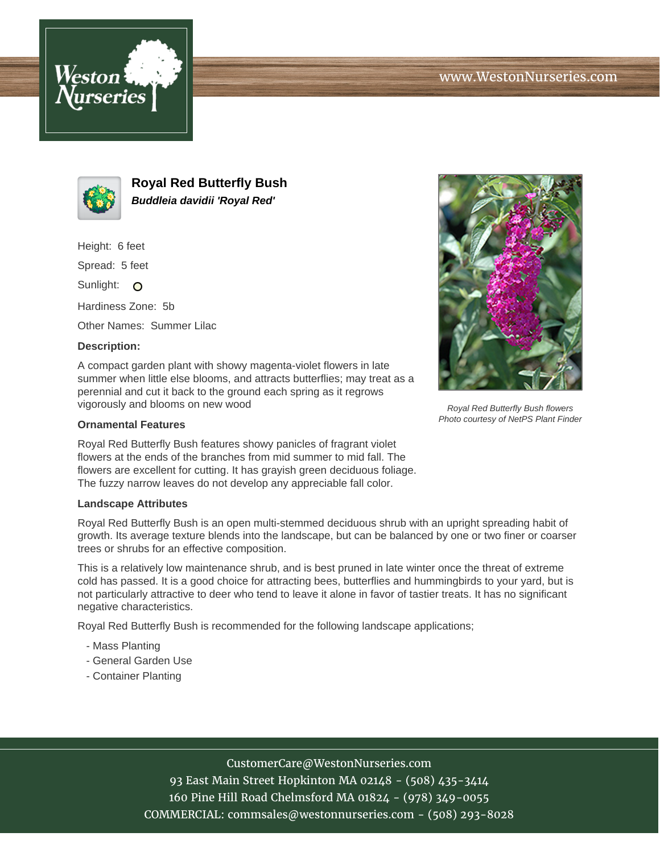



**Royal Red Butterfly Bush Buddleia davidii 'Royal Red'**

Height: 6 feet

Spread: 5 feet

Sunlight: O

Hardiness Zone: 5b

Other Names: Summer Lilac

## **Description:**

A compact garden plant with showy magenta-violet flowers in late summer when little else blooms, and attracts butterflies; may treat as a perennial and cut it back to the ground each spring as it regrows vigorously and blooms on new wood

## **Ornamental Features**

Royal Red Butterfly Bush features showy panicles of fragrant violet flowers at the ends of the branches from mid summer to mid fall. The flowers are excellent for cutting. It has grayish green deciduous foliage. The fuzzy narrow leaves do not develop any appreciable fall color.

## **Landscape Attributes**

Royal Red Butterfly Bush is an open multi-stemmed deciduous shrub with an upright spreading habit of growth. Its average texture blends into the landscape, but can be balanced by one or two finer or coarser trees or shrubs for an effective composition.

This is a relatively low maintenance shrub, and is best pruned in late winter once the threat of extreme cold has passed. It is a good choice for attracting bees, butterflies and hummingbirds to your yard, but is not particularly attractive to deer who tend to leave it alone in favor of tastier treats. It has no significant negative characteristics.

Royal Red Butterfly Bush is recommended for the following landscape applications;

- Mass Planting
- General Garden Use
- Container Planting





Royal Red Butterfly Bush flowers Photo courtesy of NetPS Plant Finder

CustomerCare@WestonNurseries.com

93 East Main Street Hopkinton MA 02148 - (508) 435-3414 160 Pine Hill Road Chelmsford MA 01824 - (978) 349-0055 COMMERCIAL: commsales@westonnurseries.com - (508) 293-8028